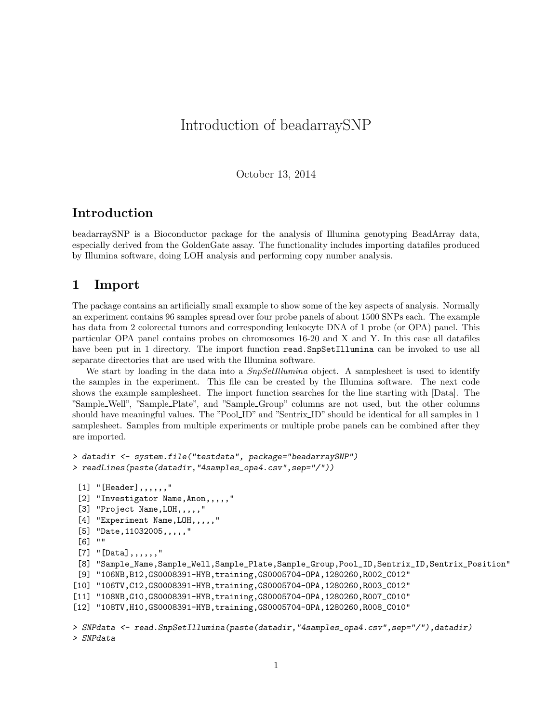# Introduction of beadarraySNP

October 13, 2014

#### Introduction

beadarraySNP is a Bioconductor package for the analysis of Illumina genotyping BeadArray data, especially derived from the GoldenGate assay. The functionality includes importing datafiles produced by Illumina software, doing LOH analysis and performing copy number analysis.

#### 1 Import

The package contains an artificially small example to show some of the key aspects of analysis. Normally an experiment contains 96 samples spread over four probe panels of about 1500 SNPs each. The example has data from 2 colorectal tumors and corresponding leukocyte DNA of 1 probe (or OPA) panel. This particular OPA panel contains probes on chromosomes 16-20 and X and Y. In this case all datafiles have been put in 1 directory. The import function read. SnpSetIllumina can be invoked to use all separate directories that are used with the Illumina software.

We start by loading in the data into a  $SnpSetIllumina$  object. A samplesheet is used to identify the samples in the experiment. This file can be created by the Illumina software. The next code shows the example samplesheet. The import function searches for the line starting with [Data]. The "Sample Well", "Sample Plate", and "Sample Group" columns are not used, but the other columns should have meaningful values. The "Pool ID" and "Sentrix ID" should be identical for all samples in 1 samplesheet. Samples from multiple experiments or multiple probe panels can be combined after they are imported.

```
> datadir <- system.file("testdata", package="beadarraySNP")
> readLines(paste(datadir,"4samples_opa4.csv",sep="/"))
 [1] "[Header],,,,,,"
 [2] "Investigator Name, Anon,,,,,"
 [3] "Project Name,LOH,,,,,"
 [4] "Experiment Name, LOH,,,,,"
 [5] "Date, 11032005,,,,,"
 [6] ""
 [7] "[Data], , , , ,[8] "Sample_Name,Sample_Well,Sample_Plate,Sample_Group,Pool_ID,Sentrix_ID,Sentrix_Position"
 [9] "106NB,B12,GS0008391-HYB,training,GS0005704-OPA,1280260,R002_C012"
[10] "106TV,C12,GS0008391-HYB,training,GS0005704-OPA,1280260,R003_C012"
[11] "108NB,G10,GS0008391-HYB,training,GS0005704-OPA,1280260,R007_C010"
[12] "108TV,H10,GS0008391-HYB,training,GS0005704-OPA,1280260,R008_C010"
> SNPdata <- read.SnpSetIllumina(paste(datadir,"4samples_opa4.csv",sep="/"),datadir)
> SNPdata
```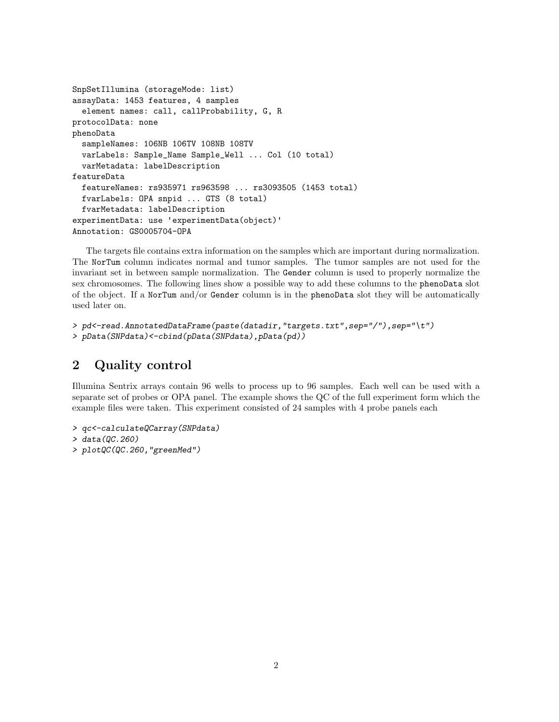```
SnpSetIllumina (storageMode: list)
assayData: 1453 features, 4 samples
  element names: call, callProbability, G, R
protocolData: none
phenoData
  sampleNames: 106NB 106TV 108NB 108TV
  varLabels: Sample_Name Sample_Well ... Col (10 total)
  varMetadata: labelDescription
featureData
  featureNames: rs935971 rs963598 ... rs3093505 (1453 total)
  fvarLabels: OPA snpid ... GTS (8 total)
  fvarMetadata: labelDescription
experimentData: use 'experimentData(object)'
Annotation: GS0005704-OPA
```
The targets file contains extra information on the samples which are important during normalization. The NorTum column indicates normal and tumor samples. The tumor samples are not used for the invariant set in between sample normalization. The Gender column is used to properly normalize the sex chromosomes. The following lines show a possible way to add these columns to the phenoData slot of the object. If a NorTum and/or Gender column is in the phenoData slot they will be automatically used later on.

```
> pd<-read.AnnotatedDataFrame(paste(datadir,"targets.txt",sep="/"),sep="\t")
> pData(SNPdata)<-cbind(pData(SNPdata),pData(pd))
```
### 2 Quality control

Illumina Sentrix arrays contain 96 wells to process up to 96 samples. Each well can be used with a separate set of probes or OPA panel. The example shows the QC of the full experiment form which the example files were taken. This experiment consisted of 24 samples with 4 probe panels each

```
> qc<-calculateQCarray(SNPdata)
```

```
> data(QC.260)
```
> plotQC(QC.260,"greenMed")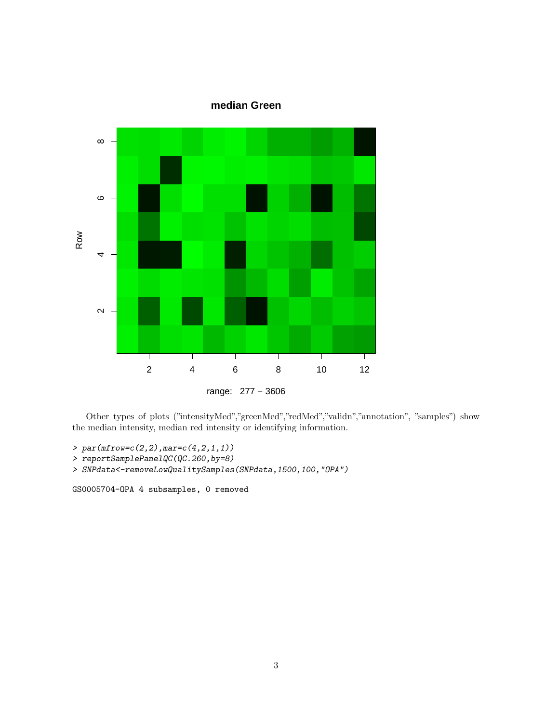

Other types of plots ("intensityMed","greenMed","redMed","validn","annotation", "samples") show the median intensity, median red intensity or identifying information.

```
> par(mfrow=c(2,2),mar=c(4,2,1,1))
```

```
> reportSamplePanelQC(QC.260,by=8)
```

```
> SNPdata<-removeLowQualitySamples(SNPdata,1500,100,"OPA")
```
GS0005704-OPA 4 subsamples, 0 removed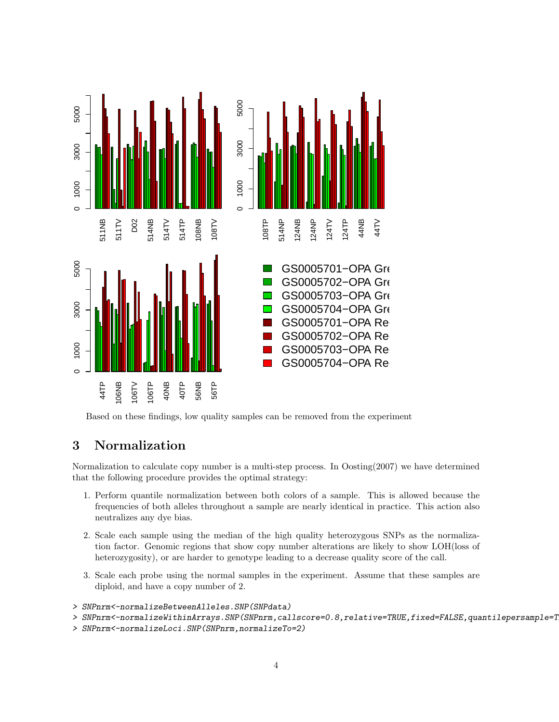

Based on these findings, low quality samples can be removed from the experiment

# 3 Normalization

Normalization to calculate copy number is a multi-step process. In Oosting(2007) we have determined that the following procedure provides the optimal strategy:

- 1. Perform quantile normalization between both colors of a sample. This is allowed because the frequencies of both alleles throughout a sample are nearly identical in practice. This action also neutralizes any dye bias.
- 2. Scale each sample using the median of the high quality heterozygous SNPs as the normalization factor. Genomic regions that show copy number alterations are likely to show LOH(loss of heterozygosity), or are harder to genotype leading to a decrease quality score of the call.
- 3. Scale each probe using the normal samples in the experiment. Assume that these samples are diploid, and have a copy number of 2.
- > SNPnrm<-normalizeBetweenAlleles.SNP(SNPdata)
- > SNPnrm<-normalizeWithinArrays.SNP(SNPnrm,callscore=0.8,relative=TRUE,fixed=FALSE,quantilepersample=T
- > SNPnrm<-normalizeLoci.SNP(SNPnrm,normalizeTo=2)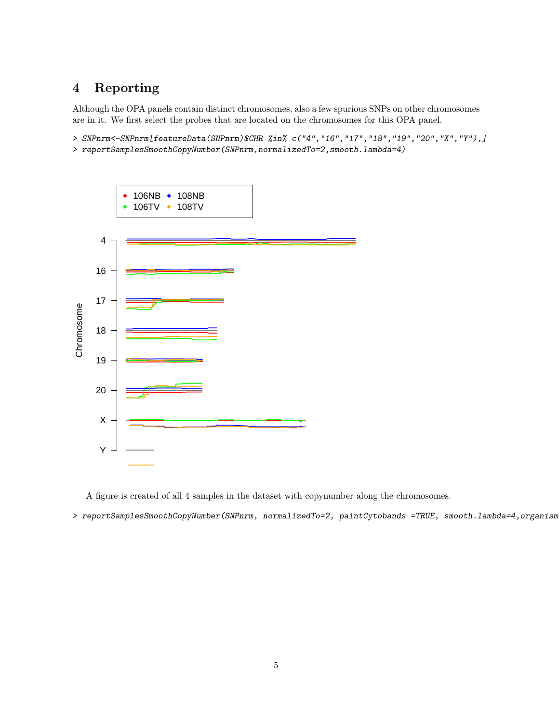# 4 Reporting

Although the OPA panels contain distinct chromosomes, also a few spurious SNPs on other chromosomes are in it. We first select the probes that are located on the chromosomes for this OPA panel.

- > SNPnrm<-SNPnrm[featureData(SNPnrm)\$CHR %in% c("4","16","17","18","19","20","X","Y"),]
- > reportSamplesSmoothCopyNumber(SNPnrm,normalizedTo=2,smooth.lambda=4)



A figure is created of all 4 samples in the dataset with copynumber along the chromosomes.

> reportSamplesSmoothCopyNumber(SNPnrm, normalizedTo=2, paintCytobands =TRUE, smooth.lambda=4,organism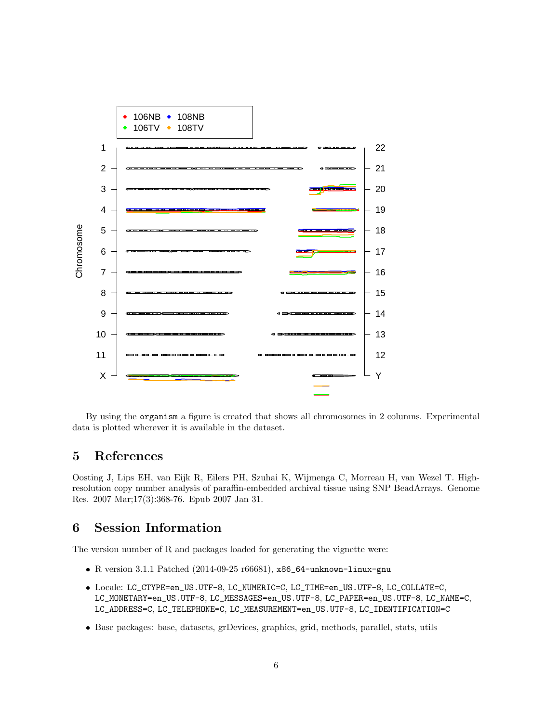

By using the organism a figure is created that shows all chromosomes in 2 columns. Experimental data is plotted wherever it is available in the dataset.

## 5 References

Oosting J, Lips EH, van Eijk R, Eilers PH, Szuhai K, Wijmenga C, Morreau H, van Wezel T. Highresolution copy number analysis of paraffin-embedded archival tissue using SNP BeadArrays. Genome Res. 2007 Mar;17(3):368-76. Epub 2007 Jan 31.

### 6 Session Information

The version number of R and packages loaded for generating the vignette were:

- R version 3.1.1 Patched (2014-09-25 r66681), x86\_64-unknown-linux-gnu
- Locale: LC\_CTYPE=en\_US.UTF-8, LC\_NUMERIC=C, LC\_TIME=en\_US.UTF-8, LC\_COLLATE=C, LC\_MONETARY=en\_US.UTF-8, LC\_MESSAGES=en\_US.UTF-8, LC\_PAPER=en\_US.UTF-8, LC\_NAME=C, LC\_ADDRESS=C, LC\_TELEPHONE=C, LC\_MEASUREMENT=en\_US.UTF-8, LC\_IDENTIFICATION=C
- Base packages: base, datasets, grDevices, graphics, grid, methods, parallel, stats, utils